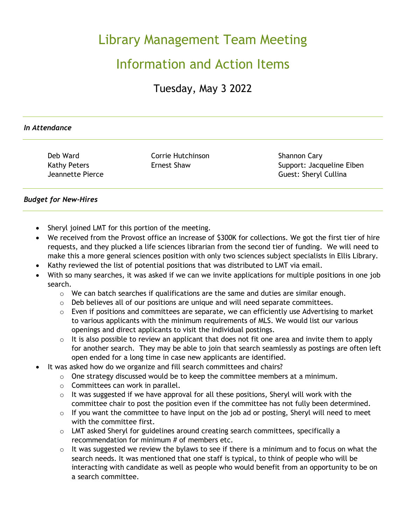# Library Management Team Meeting

## Information and Action Items

Tuesday, May 3 2022

#### *In Attendance*

Deb Ward Kathy Peters Jeannette Pierce Corrie Hutchinson Ernest Shaw

Shannon Cary Support: Jacqueline Eiben Guest: Sheryl Cullina

## *Budget for New-Hires*

- Sheryl joined LMT for this portion of the meeting.
- We received from the Provost office an increase of \$300K for collections. We got the first tier of hire requests, and they plucked a life sciences librarian from the second tier of funding. We will need to make this a more general sciences position with only two sciences subject specialists in Ellis Library.
- Kathy reviewed the list of potential positions that was distributed to LMT via email.
- With so many searches, it was asked if we can we invite applications for multiple positions in one job search.
	- $\circ$  We can batch searches if qualifications are the same and duties are similar enough.
	- $\circ$  Deb believes all of our positions are unique and will need separate committees.
	- $\circ$  Even if positions and committees are separate, we can efficiently use Advertising to market to various applicants with the minimum requirements of MLS. We would list our various openings and direct applicants to visit the individual postings.
	- $\circ$  It is also possible to review an applicant that does not fit one area and invite them to apply for another search. They may be able to join that search seamlessly as postings are often left open ended for a long time in case new applicants are identified.
- It was asked how do we organize and fill search committees and chairs?
	- $\circ$  One strategy discussed would be to keep the committee members at a minimum.
	- $\circ$  Committees can work in parallel.
	- o It was suggested if we have approval for all these positions, Sheryl will work with the committee chair to post the position even if the committee has not fully been determined.
	- $\circ$  If you want the committee to have input on the job ad or posting, Sheryl will need to meet with the committee first.
	- o LMT asked Sheryl for guidelines around creating search committees, specifically a recommendation for minimum # of members etc.
	- $\circ$  It was suggested we review the bylaws to see if there is a minimum and to focus on what the search needs. It was mentioned that one staff is typical, to think of people who will be interacting with candidate as well as people who would benefit from an opportunity to be on a search committee.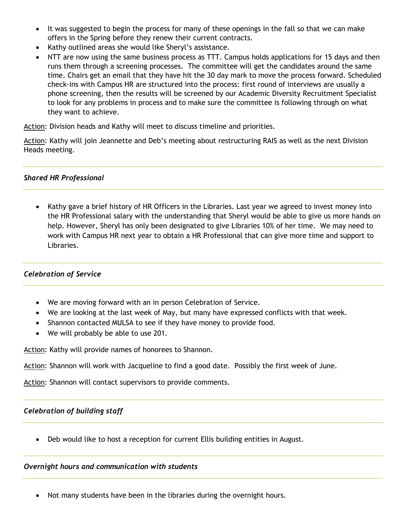- It was suggested to begin the process for many of these openings in the fall so that we can make offers in the Spring before they renew their current contracts.
- Kathy outlined areas she would like Sheryl's assistance.
- NTT are now using the same business process as TTT. Campus holds applications for 15 days and then runs them through a screening processes. The committee will get the candidates around the same time. Chairs get an email that they have hit the 30 day mark to move the process forward. Scheduled check-ins with Campus HR are structured into the process: first round of interviews are usually a phone screening, then the results will be screened by our Academic Diversity Recruitment Specialist to look for any problems in process and to make sure the committee is following through on what they want to achieve.

Action: Division heads and Kathy will meet to discuss timeline and priorities.

Action: Kathy will join Jeannette and Deb's meeting about restructuring RAIS as well as the next Division Heads meeting.

#### *Shared HR Professional*

• Kathy gave a brief history of HR Officers in the Libraries. Last year we agreed to invest money into the HR Professional salary with the understanding that Sheryl would be able to give us more hands on help. However, Sheryl has only been designated to give Libraries 10% of her time. We may need to work with Campus HR next year to obtain a HR Professional that can give more time and support to Libraries.

## *Celebration of Service*

- We are moving forward with an in person Celebration of Service.
- We are looking at the last week of May, but many have expressed conflicts with that week.
- Shannon contacted MULSA to see if they have money to provide food.
- We will probably be able to use 201.

Action: Kathy will provide names of honorees to Shannon.

Action: Shannon will work with Jacqueline to find a good date. Possibly the first week of June.

Action: Shannon will contact supervisors to provide comments.

#### *Celebration of building staff*

• Deb would like to host a reception for current Ellis building entities in August.

#### *Overnight hours and communication with students*

• Not many students have been in the libraries during the overnight hours.